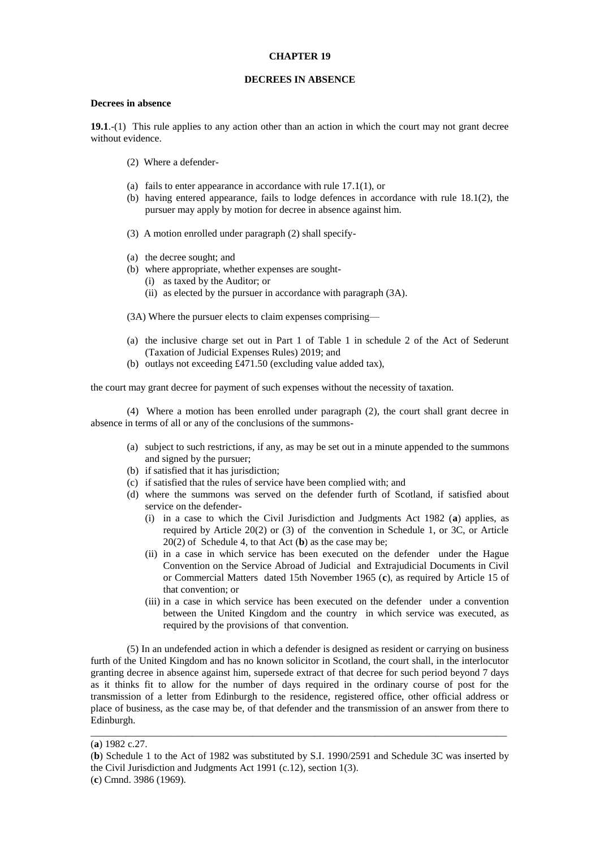## **CHAPTER 19**

## **DECREES IN ABSENCE**

## **Decrees in absence**

**19.1**.-(1) This rule applies to any action other than an action in which the court may not grant decree without evidence.

- (2) Where a defender-
- (a) fails to enter appearance in accordance with rule 17.1(1), or
- (b) having entered appearance, fails to lodge defences in accordance with rule 18.1(2), the pursuer may apply by motion for decree in absence against him.
- (3) A motion enrolled under paragraph (2) shall specify-
- (a) the decree sought; and
- (b) where appropriate, whether expenses are sought-
	- (i) as taxed by the Auditor; or
	- (ii) as elected by the pursuer in accordance with paragraph (3A).
- (3A) Where the pursuer elects to claim expenses comprising—
- (a) the inclusive charge set out in Part 1 of Table 1 in schedule 2 of the Act of Sederunt (Taxation of Judicial Expenses Rules) 2019; and
- (b) outlays not exceeding £471.50 (excluding value added tax),

the court may grant decree for payment of such expenses without the necessity of taxation.

(4) Where a motion has been enrolled under paragraph (2), the court shall grant decree in absence in terms of all or any of the conclusions of the summons-

- (a) subject to such restrictions, if any, as may be set out in a minute appended to the summons and signed by the pursuer;
- (b) if satisfied that it has jurisdiction;
- (c) if satisfied that the rules of service have been complied with; and
- (d) where the summons was served on the defender furth of Scotland, if satisfied about service on the defender-
	- (i) in a case to which the Civil Jurisdiction and Judgments Act 1982 (**a**) applies, as required by Article 20(2) or (3) of the convention in Schedule 1, or 3C, or Article 20(2) of Schedule 4, to that Act (**b**) as the case may be;
	- (ii) in a case in which service has been executed on the defender under the Hague Convention on the Service Abroad of Judicial and Extrajudicial Documents in Civil or Commercial Matters dated 15th November 1965 (**c**), as required by Article 15 of that convention; or
	- (iii) in a case in which service has been executed on the defender under a convention between the United Kingdom and the country in which service was executed, as required by the provisions of that convention.

(5) In an undefended action in which a defender is designed as resident or carrying on business furth of the United Kingdom and has no known solicitor in Scotland, the court shall, in the interlocutor granting decree in absence against him, supersede extract of that decree for such period beyond 7 days as it thinks fit to allow for the number of days required in the ordinary course of post for the transmission of a letter from Edinburgh to the residence, registered office, other official address or place of business, as the case may be, of that defender and the transmission of an answer from there to Edinburgh.

\_\_\_\_\_\_\_\_\_\_\_\_\_\_\_\_\_\_\_\_\_\_\_\_\_\_\_\_\_\_\_\_\_\_\_\_\_\_\_\_\_\_\_\_\_\_\_\_\_\_\_\_\_\_\_\_\_\_\_\_\_\_\_\_\_\_\_\_\_\_\_\_\_\_\_\_\_\_\_\_\_\_

<sup>(</sup>**a**) 1982 c.27.

<sup>(</sup>**b**) Schedule 1 to the Act of 1982 was substituted by S.I. 1990/2591 and Schedule 3C was inserted by the Civil Jurisdiction and Judgments Act 1991 (c.12), section 1(3).

<sup>(</sup>**c**) Cmnd. 3986 (1969).